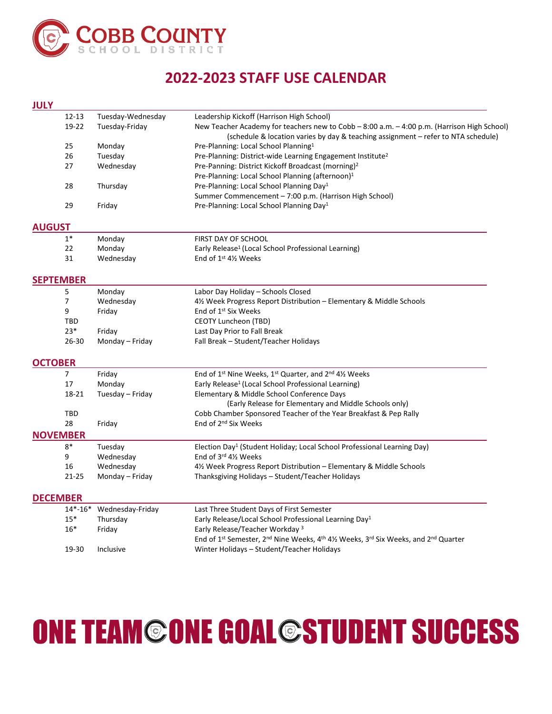

## **2022-2023 STAFF USE CALENDAR**

| <b>JULY</b>      |           |                   |                                                                                                                                                                                  |
|------------------|-----------|-------------------|----------------------------------------------------------------------------------------------------------------------------------------------------------------------------------|
|                  | $12 - 13$ | Tuesday-Wednesday | Leadership Kickoff (Harrison High School)                                                                                                                                        |
|                  | 19-22     | Tuesday-Friday    | New Teacher Academy for teachers new to Cobb - 8:00 a.m. - 4:00 p.m. (Harrison High School)<br>(schedule & location varies by day & teaching assignment - refer to NTA schedule) |
|                  | 25        | Monday            | Pre-Planning: Local School Planning <sup>1</sup>                                                                                                                                 |
|                  | 26        | Tuesday           | Pre-Planning: District-wide Learning Engagement Institute <sup>2</sup>                                                                                                           |
|                  | 27        | Wednesday         | Pre-Panning: District Kickoff Broadcast (morning) <sup>2</sup>                                                                                                                   |
|                  |           |                   | Pre-Planning: Local School Planning (afternoon) <sup>1</sup>                                                                                                                     |
|                  | 28        | Thursday          | Pre-Planning: Local School Planning Day <sup>1</sup>                                                                                                                             |
|                  |           |                   | Summer Commencement - 7:00 p.m. (Harrison High School)                                                                                                                           |
|                  | 29        | Friday            | Pre-Planning: Local School Planning Day <sup>1</sup>                                                                                                                             |
| <b>AUGUST</b>    |           |                   |                                                                                                                                                                                  |
|                  | $1*$      | Monday            | FIRST DAY OF SCHOOL                                                                                                                                                              |
|                  | 22        | Monday            | Early Release <sup>1</sup> (Local School Professional Learning)                                                                                                                  |
|                  | 31        | Wednesday         | End of $1^{st}$ 4 $\frac{1}{2}$ Weeks                                                                                                                                            |
| <b>SEPTEMBER</b> |           |                   |                                                                                                                                                                                  |
|                  | 5         | Monday            | Labor Day Holiday - Schools Closed                                                                                                                                               |
|                  | 7         | Wednesday         | 41/2 Week Progress Report Distribution - Elementary & Middle Schools                                                                                                             |
|                  | 9         | Friday            | End of 1 <sup>st</sup> Six Weeks                                                                                                                                                 |
|                  | TBD       |                   | CEOTY Luncheon (TBD)                                                                                                                                                             |
|                  | $23*$     | Friday            | Last Day Prior to Fall Break                                                                                                                                                     |
|                  | $26 - 30$ | Monday - Friday   | Fall Break - Student/Teacher Holidays                                                                                                                                            |
| <b>OCTOBER</b>   |           |                   |                                                                                                                                                                                  |
|                  | 7         | Friday            | End of 1 <sup>st</sup> Nine Weeks, 1 <sup>st</sup> Quarter, and 2 <sup>nd</sup> 41/ <sub>2</sub> Weeks                                                                           |
|                  | 17        | Monday            | Early Release <sup>1</sup> (Local School Professional Learning)                                                                                                                  |
|                  | 18-21     | Tuesday - Friday  | Elementary & Middle School Conference Days                                                                                                                                       |
|                  |           |                   | (Early Release for Elementary and Middle Schools only)                                                                                                                           |
|                  | TBD       |                   | Cobb Chamber Sponsored Teacher of the Year Breakfast & Pep Rally                                                                                                                 |
|                  | 28        | Friday            | End of 2 <sup>nd</sup> Six Weeks                                                                                                                                                 |
| <b>NOVEMBER</b>  |           |                   |                                                                                                                                                                                  |
|                  | $8*$      | Tuesday           | Election Day <sup>1</sup> (Student Holiday; Local School Professional Learning Day)                                                                                              |
|                  | 9         | Wednesday         | End of 3rd 41/2 Weeks                                                                                                                                                            |
|                  | 16        | Wednesday         | 4½ Week Progress Report Distribution – Elementary & Middle Schools                                                                                                               |
|                  | $21 - 25$ | Monday – Friday   | Thanksgiving Holidays - Student/Teacher Holidays                                                                                                                                 |
| <b>DECEMBER</b>  |           |                   |                                                                                                                                                                                  |
|                  | $14*-16*$ | Wednesday-Friday  | Last Three Student Days of First Semester                                                                                                                                        |
|                  | $15*$     | Thursday          | Early Release/Local School Professional Learning Day <sup>1</sup>                                                                                                                |
|                  | $16*$     | Friday            | Early Release/Teacher Workday <sup>3</sup>                                                                                                                                       |
|                  |           |                   | End of 1 <sup>st</sup> Semester, 2 <sup>nd</sup> Nine Weeks, 4 <sup>th</sup> 41/ <sub>2</sub> Weeks, 3 <sup>rd</sup> Six Weeks, and 2 <sup>nd</sup> Quarter                      |
|                  | 19-30     | Inclusive         | Winter Holidays - Student/Teacher Holidays                                                                                                                                       |

## **ONE TEAM©ONE GOAL@STUDENT SUCCESS**